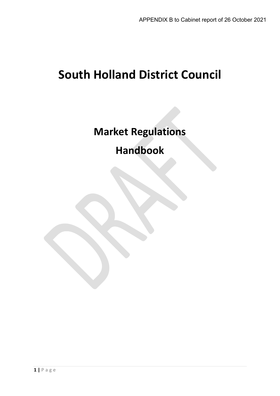# **South Holland District Council**

**Market Regulations**

**Handbook**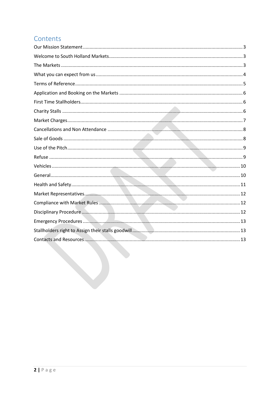# Contents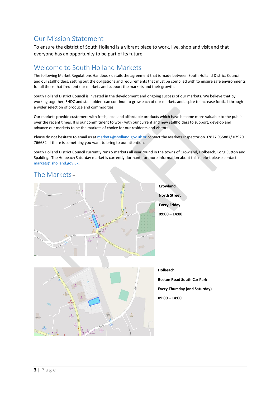# <span id="page-2-0"></span>Our Mission Statement

To ensure the district of South Holland is a vibrant place to work, live, shop and visit and that everyone has an opportunity to be part of its future.

#### <span id="page-2-1"></span>Welcome to South Holland Markets

The following Market Regulations Handbook details the agreement that is made between South Holland District Council and our stallholders, setting out the obligations and requirements that must be complied with to ensure safe environments for all those that frequent our markets and support the markets and their growth.

South Holland District Council is invested in the development and ongoing success of our markets. We believe that by working together, SHDC and stallholders can continue to grow each of our markets and aspire to increase footfall through a wider selection of produce and commodities.

Our markets provide customers with fresh, local and affordable products which have become more valuable to the public over the recent times. It is our commitment to work with our current and new stallholders to support, develop and advance our markets to be the markets of choice for our residents and visitors.

Please do not hesitate to email us at [markets@sholland.gov.uk](mailto:markets@sholland.gov.uk) or contact the Markets Inspector on 07827 955887/07920 766682 if there is something you want to bring to our attention.

South Holland District Council currently runs 5 markets all year round in the towns of Crowland, Holbeach, Long Sutton and Spalding. The Holbeach Saturday market is currently dormant, for more information about this market please contact [markets@sholland.gov.uk.](mailto:markets@sholland.gov.uk)

#### <span id="page-2-2"></span>The Markets **–**





#### **Holbeach**

**Boston Road South Car Park Every Thursday (and Saturday) 09:00 – 14:00**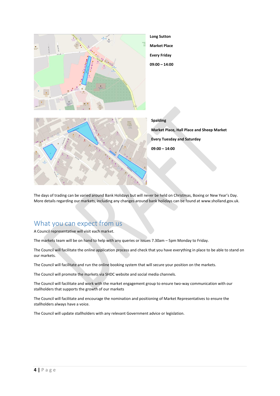

The days of trading can be varied around Bank Holidays but will never be held on Christmas, Boxing or New Year's Day. More details regarding our markets, including any changes around bank holidays can be found at www.sholland.gov.uk.

#### <span id="page-3-0"></span>What you can expect from us

A Council representative will visit each market.

The markets team will be on hand to help with any queries or issues 7.30am – 5pm Monday to Friday.

The Council will facilitate the online application process and check that you have everything in place to be able to stand on our markets.

The Council will facilitate and run the online booking system that will secure your position on the markets.

The Council will promote the markets via SHDC website and social media channels.

The Council will facilitate and work with the market engagement group to ensure two-way communication with our stallholders that supports the growth of our markets

The Council will facilitate and encourage the nomination and positioning of Market Representatives to ensure the stallholders always have a voice.

The Council will update stallholders with any relevant Government advice or legislation.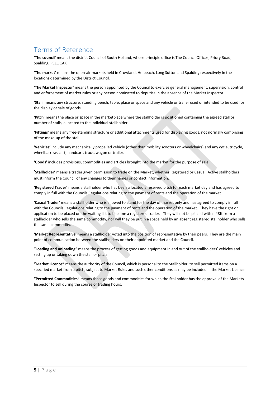# <span id="page-4-0"></span>Terms of Reference

**'The council'** means the district Council of South Holland, whose principle office is The Council Offices, Priory Road, Spalding, PE11 1AX

**'The market'** means the open-air markets held in Crowland, Holbeach, Long Sutton and Spalding respectively in the locations determined by the District Council.

**'The Market Inspector'** means the person appointed by the Council to exercise general management, supervision, control and enforcement of market rules or any person nominated to deputise in the absence of the Market Inspector.

**'Stall'** means any structure, standing bench, table, place or space and any vehicle or trailer used or intended to be used for the display or sale of goods.

**'Pitch'** means the place or space in the marketplace where the stallholder is positioned containing the agreed stall or number of stalls, allocated to the individual stallholder.

**'Fittings'** means any free-standing structure or additional attachments used for displaying goods, not normally comprising of the make-up of the stall.

**'Vehicles'** include any mechanically propelled vehicle (other than mobility scooters or wheelchairs) and any cycle, tricycle, wheelbarrow, cart, handcart, truck, wagon or trailer.

**'Goods'** includes provisions, commodities and articles brought into the market for the purpose of sale.

**'Stallholder'** means a trader given permission to trade on the Market, whether Registered or Casual. Active stallholders must inform the Council of any changes to their names or contact information.

**'Registered Trader'** means a stallholder who has been allocated a reserved pitch for each market day and has agreed to comply in full with the Councils Regulations relating to the payment of rents and the operation of the market.

**'Casual Trader'** means a stallholder who is allowed to stand for the day of market only and has agreed to comply in full with the Councils Regulations relating to the payment of rents and the operation of the market. They have the right on application to be placed on the waiting list to become a registered trader. They will not be placed within 48ft from a stallholder who sells the same commodity, nor will they be put in a space held by an absent registered stallholder who sells the same commodity.

**'Market Representative'** means a stallholder voted into the position of representative by their peers. They are the main point of communication between the stallholders on their appointed market and the Council.

"**Loading and unloading**" means the process of getting goods and equipment in and out of the stallholders' vehicles and setting up or taking down the stall or pitch

**"Market Licence"** means the authority of the Council, which is personal to the Stallholder, to sell permitted items on a specified market from a pitch, subject to Market Rules and such other conditions as may be included in the Market Licence

**"Permitted Commodities"** means those goods and commodities for which the Stallholder has the approval of the Markets Inspector to sell during the course of trading hours.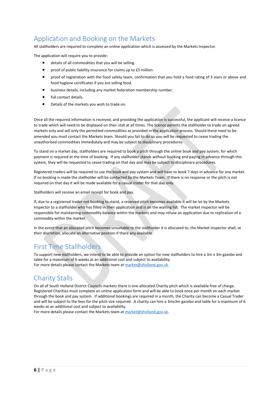# <span id="page-5-0"></span>Application and Booking on the Markets

All stallholders are required to complete an online application which is assessed by the Markets Inspector.

The application will require you to provide:

- details of all commodities that you will be selling.
- proof of public liability insurance for claims up to £5 million.
- proof of registration with the food safety team, confirmation that you hold a food rating of 3 stars or above and food hygiene certificates if you are selling food.
- business details, including any market federation membership number.
- full contact details.
- Details of the markets you wish to trade on.

Once all the required information is received, and providing the application is successful, the applicant will receive a licence to trade which will need to be displayed on their stall at all times. The licence permits the stallholder to trade on agreed markets only and sell only the permitted commodities as provided in the application process. Should these need to be amended you must contact the Markets team. Should you fail to do so you will be requested to cease trading the unauthorised commodities immediately and may be subject to disciplinary procedures.

To stand on a market day, stallholders are required to book a pitch through the online book and pay system, for which payment is required at the time of booking. If any stallholder stands without booking and paying in advance through this system, they will be requested to cease trading on that day and may be subject to disciplinary procedures.

Registered traders will be required to use the book and pay system and will have to book 7 days in advance for any market. If no booking is made the stallholder will be contacted by the Markets Team. If there is no response or the pitch is not required on that day it will be made available for a casual trader for that day only.

Stallholders will receive an email receipt for book and pay.

If, due to a registered trader not booking to stand, a reserved pitch becomes available it will be let by the Markets Inspector to a stallholder who has filled in their application and is on the waiting list. The market inspector will be responsible for maintaining commodity balance within the markets and may refuse an application due to replication of a commodity within the market.

In the event that an allocated pitch becomes unsuitable to the stallholder it is allocated to, the Market Inspector shall, at their discretion, allocate an alternative position if there any available.

# <span id="page-5-1"></span>First Time Stallholders

To support new stallholders, we intend to be able to provide an option for new stallholders to hire a 3m x 3m gazebo and table for a maximum of 6 weeks at an additional cost and subject to availability. For more details please contact the Markets team at [market@sholland.gov.uk.](mailto:market@sholland.gov.uk)

# <span id="page-5-2"></span>Charity Stalls

On all of South Holland District Councils markets there is one allocated Charity pitch which is available free of charge. Registered Charities must complete an online application form and will be able to book once per month on each market through the book and pay system. If additional bookings are required in a month, the Charity can become a Casual Trader and will be subject to the fees for the pitch size required. A charity can hire a 3mx3m gazebo and table for a maximum of 6 weeks at an additional cost and subject to availability.

For more details please contact the Markets team at [market@sholland.gov.uk.](mailto:market@sholland.gov.uk)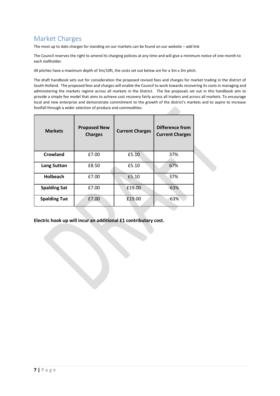# <span id="page-6-0"></span>Market Charges

The most up to date charges for standing on our markets can be found on our website – add link

The Council reserves the right to amend its charging policies at any time and will give a minimum notice of one month to each stallholder.

All pitches have a maximum depth of 3m/10ft, the costs set out below are for a 3m x 3m pitch.

The draft handbook sets out for consideration the proposed revised fees and charges for market trading in the district of South Holland. The proposed fees and charges will enable the Council to work towards recovering its costs in managing and administering the markets regime across all markets in the District. The fee proposals set out in this handbook aim to provide a simple fee model that aims to achieve cost recovery fairly across all traders and across all markets. To encourage local and new enterprise and demonstrate commitment to the growth of the district's markets and to aspire to increase footfall through a wider selection of produce and commodities.

| <b>Markets</b>      | <b>Proposed New</b><br><b>Charges</b> | <b>Current Charges</b> | <b>Difference from</b><br><b>Current Charges</b> |  |
|---------------------|---------------------------------------|------------------------|--------------------------------------------------|--|
| Crowland            | £7.00                                 | £5.10                  | 37%                                              |  |
| <b>Long Sutton</b>  | £8.50                                 | £5.10                  | 67%                                              |  |
| Holbeach            | £7.00                                 | £5.10                  | 37%                                              |  |
| <b>Spalding Sat</b> | £7.00                                 | £19.00                 | $-63%$                                           |  |
| <b>Spalding Tue</b> | £7.00                                 | £19.00                 | $-63%$                                           |  |

**Electric hook up will incur an additional £1 contributary cost.**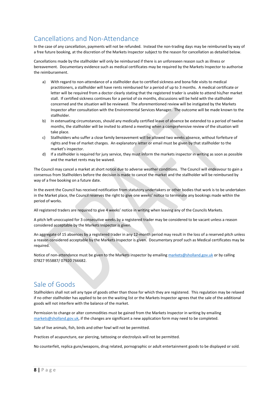# <span id="page-7-0"></span>Cancellations and Non-Attendance

In the case of any cancellation, payments will not be refunded. Instead the non-trading days may be reimbursed by way of a free future booking, at the discretion of the Markets Inspector subject to the reason for cancellation as detailed below.

Cancellations made by the stallholder will only be reimbursed if there is an unforeseen reason such as illness or bereavement. Documentary evidence such as medical certificates may be required by the Markets Inspector to authorise the reimbursement.

- a) With regard to non-attendance of a stallholder due to certified sickness and bona fide visits to medical practitioners, a stallholder will have rents reimbursed for a period of up to 3 months. A medical certificate or letter will be required from a doctor clearly stating that the registered trader is unable to attend his/her market stall. If certified sickness continues for a period of six months, discussions will be held with the stallholder concerned and the situation will be reviewed. The aforementioned review will be instigated by the Markets Inspector after consultation with the Environmental Services Manager. The outcome will be made known to the stallholder.
- b) In extenuating circumstances, should any medically certified leave of absence be extended to a period of twelve months, the stallholder will be invited to attend a meeting when a comprehensive review of the situation will take place.
- c) Stallholders who suffer a close family bereavement will be allowed two weeks absence, without forfeiture of rights and free of market charges. An explanatory letter or email must be given by that stallholder to the market's inspector.
- d) If a stallholder is required for jury service, they must inform the markets inspector in writing as soon as possible and the market rents may be waived.

The Council may cancel a market at short notice due to adverse weather conditions. The Council will endeavour to gain a consensus from Stallholders before the decision is made to cancel the market and the stallholder will be reimbursed by way of a free booking on a future date.

In the event the Council has received notification from statutory undertakers or other bodies that work is to be undertaken in the Market place, the Council reserves the right to give one weeks' notice to terminate any bookings made within the period of works.

All registered traders are required to give 4 weeks' notice in writing when leaving any of the Councils Markets.

A pitch left unoccupied for 3 consecutive weeks by a registered trader may be considered to be vacant unless a reason considered acceptable by the Markets Inspector is given.

An aggregate of 15 absences by a registered trader in any 12-month period may result in the loss of a reserved pitch unless a reason considered acceptable by the Markets Inspector is given. Documentary proof such as Medical certificates may be required.

Notice of non-attendance must be given to the Markets inspector by emailing [markets@sholland.gov.uk](mailto:markets@sholland.gov.uk) or by calling 07827 955887/ 07920 766682.

#### <span id="page-7-1"></span>Sale of Goods

Stallholders shall not sell any type of goods other than those for which they are registered. This regulation may be relaxed if no other stallholder has applied to be on the waiting list or the Markets Inspector agrees that the sale of the additional goods will not interfere with the balance of the market.

Permission to change or alter commodities must be gained from the Markets Inspector in writing by emailing [markets@sholland.gov.uk,](mailto:markets@sholland.gov.uk) if the changes are significant a new application form may need to be completed.

Sale of live animals, fish, birds and other fowl will not be permitted.

Practices of acupuncture, ear piercing, tattooing or electrolysis will not be permitted.

No counterfeit, replica guns/weapons, drug related, pornographic or adult entertainment goods to be displayed or sold.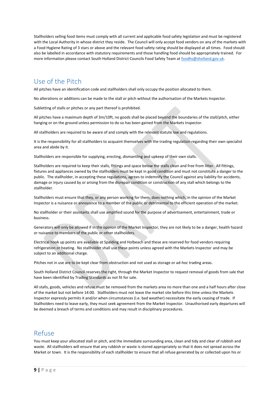Stallholders selling food items must comply with all current and applicable food safety legislation and must be registered with the Local Authority in whose district they reside. The Council will only accept food vendors on any of the markets with a Food Hygiene Rating of 3 stars or above and the relevant food safety rating should be displayed at all times. Food should also be labelled in accordance with statutory requirements and those handling food should be appropriately trained. For more information please contact South Holland District Councils Food Safety Team a[t foodhs@sholland.gov.uk.](mailto:foodhs@sholland.gov.uk)

#### <span id="page-8-0"></span>Use of the Pitch

All pitches have an identification code and stallholders shall only occupy the position allocated to them.

No alterations or additions can be made to the stall or pitch without the authorisation of the Markets Inspector.

Subletting of stalls or pitches or any part thereof is prohibited.

All pitches have a maximum depth of 3m/10ft, no goods shall be placed beyond the boundaries of the stall/pitch, either hanging or on the ground unless permission to do so has been gained from the Markets Inspector.

All stallholders are required to be aware of and comply with the relevant statute law and regulations.

It is the responsibility for all stallholders to acquaint themselves with the trading regulation regarding their own specialist area and abide by it.

Stallholders are responsible for supplying, erecting, dismantling and upkeep of their own stalls.

Stallholders are required to keep their stalls, fittings and space below the stalls clean and free from litter. All fittings, fixtures and appliances owned by the stallholders must be kept in good condition and must not constitute a danger to the public. The stallholder, in accepting these regulations, agrees to indemnify the Council against any liability for accidents, damage or injury caused by or arising from the disrepair condition or construction of any stall which belongs to the stallholder.

Stallholders must ensure that they, or any person working for them, does nothing which, in the opinion of the Market Inspector is a nuisance or annoyance to a member of the public or detrimental to the efficient operation of the market.

No stallholder or their assistants shall use amplified sound for the purpose of advertisement, entertainment, trade or business.

Generators will only be allowed if in the opinion of the Market Inspector, they are not likely to be a danger, health hazard or nuisance to members of the public or other stallholders.

Electrical hook up points are available at Spalding and Holbeach and these are reserved for food vendors requiring refrigeration or heating. No stallholder shall use these points unless agreed with the Markets Inspector and may be subject to an additional charge.

Pitches not in use are to be kept clear from obstruction and not used as storage or ad-hoc trading areas.

South Holland District Council reserves the right, through the Market Inspector to request removal of goods from sale that have been identified by Trading Standards as not fit for sale.

All stalls, goods, vehicles and refuse must be removed from the markets area no more than one and a half hours after close of the market but not before 14:00. Stallholders must not leave the market site before this time unless the Markets Inspector expressly permits it and/or when circumstances (i.e. bad weather) necessitate the early ceasing of trade. If Stallholders need to leave early, they must seek agreement from the Market Inspector. Unauthorised early departures will be deemed a breach of terms and conditions and may result in disciplinary procedures.

#### <span id="page-8-1"></span>Refuse

You must keep your allocated stall or pitch, and the immediate surrounding area, clean and tidy and clear of rubbish and waste. All stallholders will ensure that any rubbish or waste is stored appropriately so that it does not spread across the Market or town. It is the responsibility of each stallholder to ensure that all refuse generated by or collected upon his or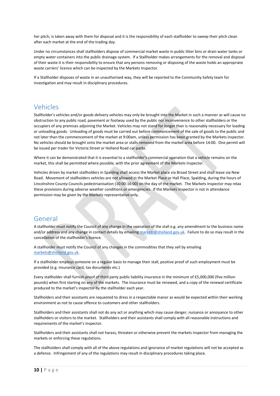her pitch, is taken away with them for disposal and it is the responsibility of each stallholder to sweep their pitch clean after each market at the end of the trading day.

Under no circumstances shall stallholders dispose of commercial market waste in public litter bins or drain water tanks or empty water containers into the public drainage system. If a Stallholder makes arrangements for the removal and disposal of their waste it is their responsibility to ensure that any persons removing or disposing of the waste holds an appropriate waste carriers' licence which can be inspected by the Markets Inspector.

If a Stallholder disposes of waste in an unauthorised way, they will be reported to the Community Safety team for investigation and may result in disciplinary procedures.

#### <span id="page-9-0"></span>Vehicles

Stallholder's vehicles and/or goods delivery vehicles may only be brought into the Market in such a manner as will cause no obstruction to any public road, pavement or footway used by the public nor inconvenience to other stallholders or the occupiers of any premises adjoining the Market. Vehicles may not stand for longer than is reasonably necessary for loading or unloading goods. Unloading of goods must be carried out before commencement of the sale of goods to the public and not later than the commencement of the market at 9:00am, unless permission has been granted by the Markets inspector. No vehicles should be brought onto the market area or stalls removed from the market area before 14:00. One permit will be issued per trader for Victoria Street or Holland Road car parks.

Where it can be demonstrated that it is essential to a stallholder's commercial operation that a vehicle remains on the market, this shall be permitted where possible, with the prior agreement of the Markets Inspector.

Vehicles driven by market stallholders in Spalding shall access the Market place via Broad Street and shall leave via New Road. Movement of stallholders vehicles are not allowed in the Market Place or Hall Place, Spalding, during the hours of Lincolnshire County Councils pedestrianisation (10:00-16:00) on the day of the market. The Markets Inspector may relax these provisions during adverse weather conditions or emergencies. If the Markets Inspector is not in attendance permission may be given by the Markets representative only.

#### <span id="page-9-1"></span>General

A stallholder must notify the Council of any change in the operation of the stall e.g. any amendment to the business name and/or address and any change in contact details by emailin[g markets@sholland.gov.uk.](mailto:markets@sholland.gov.uk) Failure to do so may result in the cancellation of the stallholder's licence.

A stallholder must notify the Council of any changes in the commodities that they sell by emailing [markets@sholland.gov.uk.](mailto:markets@sholland.gov.uk)

If a stallholder employs someone on a regular basis to manage their stall, positive proof of such employment must be provided (e.g. insurance card, tax documents etc.)

Every stallholder shall furnish proof of third party public liability insurance in the minimum of £5,000,000 (five million pounds) when first starting on any of the markets. The insurance must be renewed, and a copy of the renewal certificate produced to the market's inspector by the stallholder each year.

Stallholders and their assistants are requested to dress in a respectable manor as would be expected within their working environment as not to cause offence to customers and other stallholders.

Stallholders and their assistants shall not do any act or anything which may cause danger, nuisance or annoyance to other stallholders or visitors to the market. Stallholders and their assistants shall comply with all reasonable instructions and requirements of the market's inspector.

Stallholders and their assistants shall not harass, threaten or otherwise prevent the markets inspector from managing the markets or enforcing these regulations.

The stallholders shall comply with all of the above regulations and ignorance of market regulations will not be accepted as a defence. Infringement of any of the regulations may result in disciplinary procedures taking place.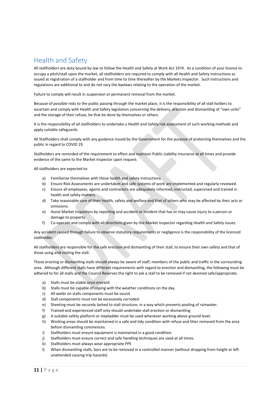# <span id="page-10-0"></span>Health and Safety

All stallholders are duty bound by law to follow the Health and Safety at Work Act 1974. As a condition of your licence to occupy a pitch/stall upon the market, all stallholders are required to comply with all Health and Safety instructions as issued at registration of a stallholder and from time to time thereafter by the Markets Inspector. Such instructions and regulations are additional to and do not vary the byelaws relating to the operation of the market.

Failure to comply will result in suspension or permanent removal from the market.

Because of possible risks to the public passing through the market place, it is the responsibility of all stall holders to ascertain and comply with Health and Safety legislation concerning the delivery, erection and dismantling of "own units" and the storage of their refuse, be that be done by themselves or others.

It is the responsibility of all stallholders to undertake a Health and Safety risk assessment of such working methods and apply suitable safeguards.

All Stallholders shall comply with any guidance issued by the Government for the purpose of protecting themselves and the public in regard to COVID 19.

Stallholders are reminded of the requirement to effect and maintain Public Liability insurance at all times and provide evidence of the same to the Market Inspector upon request.

All stallholders are expected to:

- a) Familiarise themselves with these health and safety instructions.
- b) Ensure Risk Assessments are undertaken and safe systems of work are implemented and regularly reviewed.
- c) Ensure all employees, agents and contractors are adequately informed, instructed, supervised and trained in health and safety matters.
- d) Take reasonable care of their health, safety and welfare and that of others who may be affected by their acts or omissions.
- e) Assist Market Inspectors by reporting and accident or incident that has or may cause injury to a person or damage to property.
- f) Co-operate and comply with all directions given by the Market Inspector regarding Health and Safety issues.

Any accident caused through failure to observe statutory requirements or negligence is the responsibility of the licenced stallholder.

All stallholders are responsible for the safe erection and dismantling of their stall, to ensure their own safety and that of those using and visiting the stall.

Those erecting or dismantling stalls should always be aware of staff, members of the public and traffic in the surrounding area. Although different stalls have different requirements with regard to erection and dismantling, the following must be adhered to for all stalls and the Council Reserves the right to ask a stall to be removed if not deemed safe/appropriate.

- a) Stalls must be stable once erected
- b) Stalls must be capable of coping with the weather conditions on the day.
- c) All welds on stalls components must be sound
- d) Stall components must not be excessively corroded
- e) Sheeting must be securely lashed to stall structure, in a way which prevents pooling of rainwater.
- f) Trained and experienced staff only should undertake stall erection or dismantling
- g) A suitable safety platform or stepladder must be used whenever working above ground level.
- h) Working areas should be maintained in a safe and tidy condition with refuse and litter removed from the area before dismantling commences.
- i) Stallholders must ensure equipment is maintained in a good condition.
- j) Stallholders must ensure correct and safe handling techniques are used at all times.
- k) Stallholders must always wear appropriate PPE
- l) When dismantling stalls, bars are to be removed in a controlled manner (without dropping from height or left unattended causing trip hazards)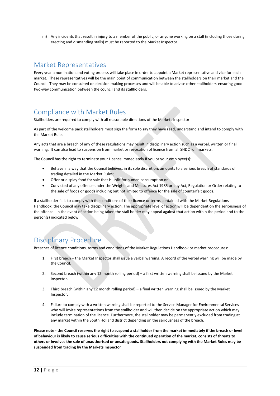m) Any incidents that result in injury to a member of the public, or anyone working on a stall (including those during erecting and dismantling stalls) must be reported to the Market Inspector.

#### <span id="page-11-0"></span>Market Representatives

Every year a nomination and voting process will take place in order to appoint a Market representative and vice for each market. These representatives will be the main point of communication between the stallholders on their market and the Council. They may be consulted on decision making processes and will be able to advise other stallholders ensuring good two-way communication between the council and its stallholders.

# <span id="page-11-1"></span>Compliance with Market Rules

Stallholders are required to comply with all reasonable directions of the Markets Inspector.

As part of the welcome pack stallholders must sign the form to say they have read, understand and intend to comply with the Market Rules

Any acts that are a breach of any of these regulations may result in disciplinary action such as a verbal, written or final warning. It can also lead to suspension from market or revocation of licence from all SHDC run markets.

The Council has the right to terminate your Licence immediately if you or your employee(s):

- Behave in a way that the Council believes, in its sole discretion, amounts to a serious breach of standards of trading detailed in the Market Rules;
- Offer or display food for sale that is unfit for human consumption or
- Convicted of any offence under the Weights and Measures Act 1985 or any Act, Regulation or Order relating to the sale of foods or goods including but not limited to offence for the sale of counterfeit goods.

If a stallholder fails to comply with the conditions of their licence or terms contained with the Market Regulations Handbook, the Council may take disciplinary action. The appropriate level of action will be dependent on the seriousness of the offence. In the event of action being taken the stall holder may appeal against that action within the period and to the person(s) indicated below.

#### <span id="page-11-2"></span>Disciplinary Procedure

Breaches of licence conditions, terms and conditions of the Market Regulations Handbook or market procedures:

- 1. First breach the Market Inspector shall issue a verbal warning. A record of the verbal warning will be made by the Council.
- 2. Second breach (within any 12 month rolling period) a first written warning shall be issued by the Market Inspector.
- 3. Third breach (within any 12 month rolling period) a final written warning shall be issued by the Market Inspector.
- 4. Failure to comply with a written warning shall be reported to the Service Manager for Environmental Services who will invite representations from the stallholder and will then decide on the appropriate action which may include termination of the licence. Furthermore, the stallholder may be permanently excluded from trading at any market within the South Holland district depending on the seriousness of the breach.

**Please note - the Council reserves the right to suspend a stallholder from the market immediately if the breach or level of behaviour is likely to cause serious difficulties with the continued operation of the market, consists of threats to others or involves the sale of unauthorised or unsafe goods. Stallholders not complying with the Market Rules may be suspended from trading by the Markets Inspector**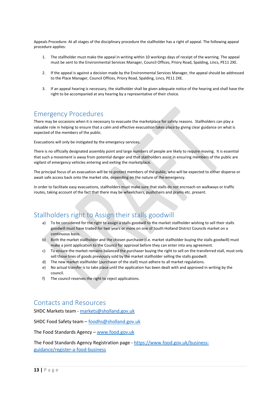Appeals Procedure: At all stages of the disciplinary procedure the stallholder has a right of appeal. The following appeal procedure applies:

- 1. The stallholder must make the appeal in writing within 10 workings days of receipt of the warning. The appeal must be sent to the Environmental Services Manager, Council Offices, Priory Road, Spalding, Lincs, PE11 2XE.
- 2. If the appeal is against a decision made by the Environmental Services Manager, the appeal should be addressed to the Place Manager, Council Offices, Priory Road, Spalding, Lincs, PE11 2XE.
- 3. If an appeal hearing is necessary, the stallholder shall be given adequate notice of the hearing and shall have the right to be accompanied at any hearing by a representative of their choice.

#### <span id="page-12-0"></span>Emergency Procedures

There may be occasions when it is necessary to evacuate the marketplace for safety reasons. Stallholders can play a valuable role in helping to ensure that a calm and effective evacuation takes place by giving clear guidance on what is expected of the members of the public.

Evacuations will only be instigated by the emergency services.

There is no officially designated assembly point and large numbers of people are likely to require moving. It is essential that such a movement is away from potential danger and that stallholders assist in ensuring members of the public are vigilant of emergency vehicles entering and exiting the marketplace.

The principal focus of an evacuation will be to protect members of the public, who will be expected to either disperse or await safe access back onto the market site, depending on the nature of the emergency.

In order to facilitate easy evacuations, stallholders must make sure that stalls do not encroach on walkways or traffic routes, taking account of the fact that there may be wheelchairs, pushchairs and prams etc. present.

### <span id="page-12-1"></span>Stallholders right to Assign their stalls goodwill

- To be considered for the right to assign a stalls goodwill to the market stallholder wishing to sell their stalls goodwill must have traded for two years or more on one of South Holland District Councils market on a continuous basis.
- b) Both the market stallholder and the chosen purchaser (i.e. market stallholder buying the stalls goodwill) must make a joint application to the Council for approval before they can enter into any agreement.
- c) To ensure the market remains balanced the purchaser buying the right to sell on the transferred stall, must only sell those lines of goods previously sold by the market stallholder selling the stalls goodwill.
- d) The new market stallholder (purchaser of the stall) must adhere to all market regulations.
- e) No actual transfer is to take place until the application has been dealt with and approved in writing by the council.
- f) The council reserves the right to reject applications.

#### <span id="page-12-2"></span>Contacts and Resources

SHDC Markets team - [markets@sholland.gov.uk](mailto:markets@sholland.gov.uk)

SHDC Food Safety team – [foodhs@sholland.gov.uk](mailto:foodhs@sholland.gov.uk)

The Food Standards Agency – [www.food.gov.uk](http://www.food.gov.uk/)

The Food Standards Agency Registration page - [https://www.food.gov.uk/business](https://www.food.gov.uk/business-guidance/register-a-food-business)[guidance/register-a-food-business](https://www.food.gov.uk/business-guidance/register-a-food-business)